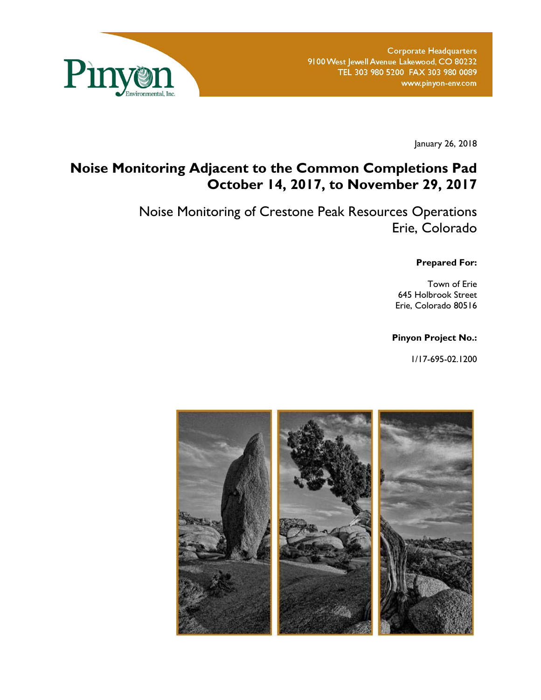

January 26, 2018

# **Noise Monitoring Adjacent to the Common Completions Pad October 14, 2017, to November 29, 2017**

Noise Monitoring of Crestone Peak Resources Operations Erie, Colorado

**Prepared For:** 

Town of Erie 645 Holbrook Street Erie, Colorado 80516

#### **Pinyon Project No.:**

1/17-695-02.1200

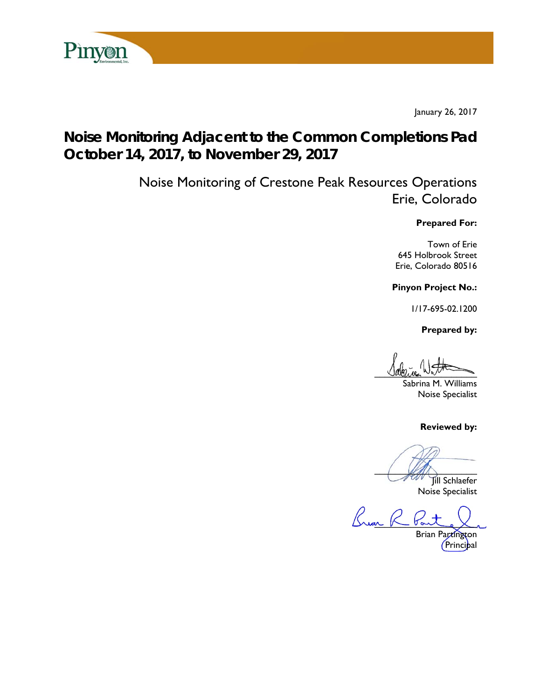

January 26, 2017

# **Noise Monitoring Adjacent to the Common Completions Pad October 14, 2017, to November 29, 2017**

Noise Monitoring of Crestone Peak Resources Operations Erie, Colorado

#### **Prepared For:**

Town of Erie 645 Holbrook Street Erie, Colorado 80516

**Pinyon Project No.:** 

1/17-695-02.1200

 **Prepared by:** 

 $U$ avenue  $W_{\text{min}}$ 

Sabrina M. Williams Noise Specialist

**Reviewed by:** 

 $\sqrt{2\pi}$ 

Jill Schlaefer Noise Specialist

Ruan R

Brian Partington Principal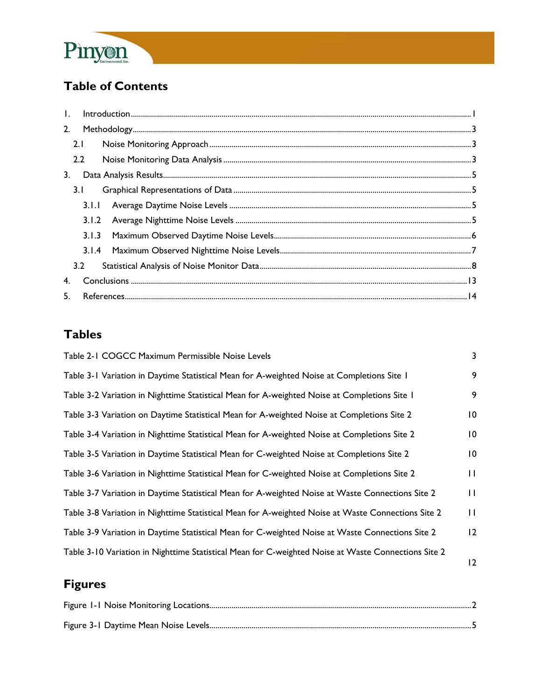

# **Table of Contents**

| 2. |       |  |
|----|-------|--|
|    | 2.1   |  |
|    | 2.2   |  |
| 3. |       |  |
|    | 3.1   |  |
|    | 3.1.1 |  |
|    |       |  |
|    | 3.1.3 |  |
|    |       |  |
|    | 3.2   |  |
| 4. |       |  |
| 5. |       |  |

## **Tables**

| Table 2-1 COGCC Maximum Permissible Noise Levels                                                    | 3               |
|-----------------------------------------------------------------------------------------------------|-----------------|
| Table 3-1 Variation in Daytime Statistical Mean for A-weighted Noise at Completions Site 1          | 9               |
| Table 3-2 Variation in Nighttime Statistical Mean for A-weighted Noise at Completions Site 1        | 9               |
| Table 3-3 Variation on Daytime Statistical Mean for A-weighted Noise at Completions Site 2          | $\overline{10}$ |
| Table 3-4 Variation in Nighttime Statistical Mean for A-weighted Noise at Completions Site 2        | 0               |
| Table 3-5 Variation in Daytime Statistical Mean for C-weighted Noise at Completions Site 2          | $\overline{10}$ |
| Table 3-6 Variation in Nighttime Statistical Mean for C-weighted Noise at Completions Site 2        | $\mathbf{H}$    |
| Table 3-7 Variation in Daytime Statistical Mean for A-weighted Noise at Waste Connections Site 2    | П               |
| Table 3-8 Variation in Nighttime Statistical Mean for A-weighted Noise at Waste Connections Site 2  | $\mathbf{H}$    |
| Table 3-9 Variation in Daytime Statistical Mean for C-weighted Noise at Waste Connections Site 2    | 12              |
| Table 3-10 Variation in Nighttime Statistical Mean for C-weighted Noise at Waste Connections Site 2 | 12              |

# **Figures**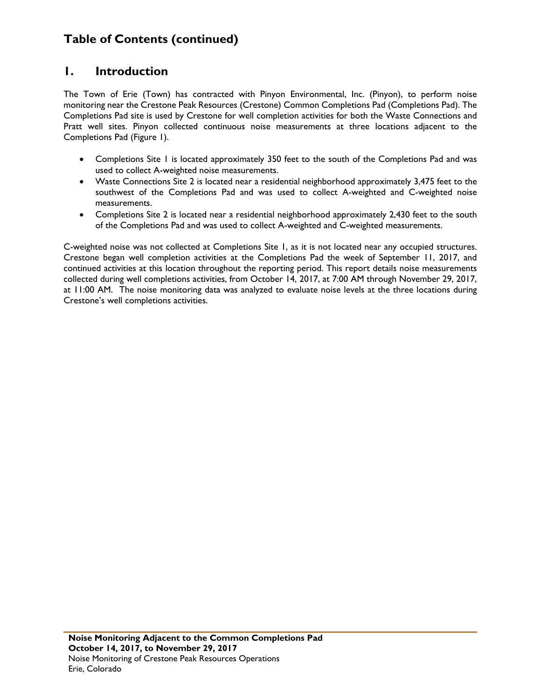#### **1. Introduction**

The Town of Erie (Town) has contracted with Pinyon Environmental, Inc. (Pinyon), to perform noise monitoring near the Crestone Peak Resources (Crestone) Common Completions Pad (Completions Pad). The Completions Pad site is used by Crestone for well completion activities for both the Waste Connections and Pratt well sites. Pinyon collected continuous noise measurements at three locations adjacent to the Completions Pad (Figure 1).

- Completions Site 1 is located approximately 350 feet to the south of the Completions Pad and was used to collect A-weighted noise measurements.
- Waste Connections Site 2 is located near a residential neighborhood approximately 3,475 feet to the southwest of the Completions Pad and was used to collect A-weighted and C-weighted noise measurements.
- Completions Site 2 is located near a residential neighborhood approximately 2,430 feet to the south of the Completions Pad and was used to collect A-weighted and C-weighted measurements.

C-weighted noise was not collected at Completions Site 1, as it is not located near any occupied structures. Crestone began well completion activities at the Completions Pad the week of September 11, 2017, and continued activities at this location throughout the reporting period. This report details noise measurements collected during well completions activities, from October 14, 2017, at 7:00 AM through November 29, 2017, at 11:00 AM. The noise monitoring data was analyzed to evaluate noise levels at the three locations during Crestone's well completions activities.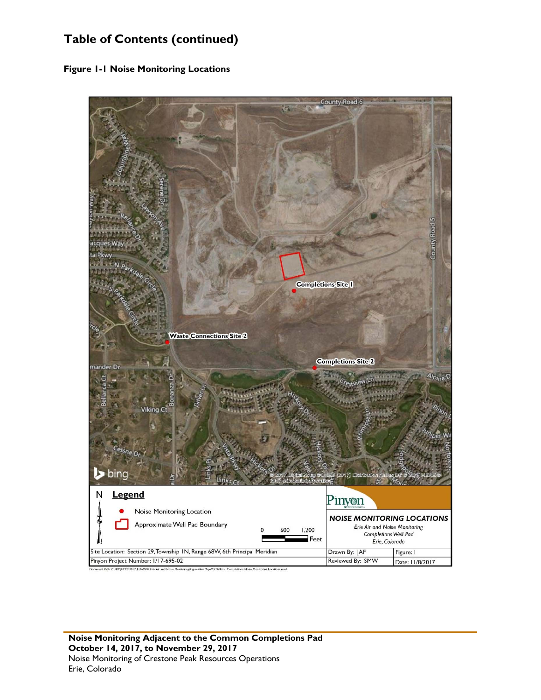**Figure 1-1 Noise Monitoring Locations** 

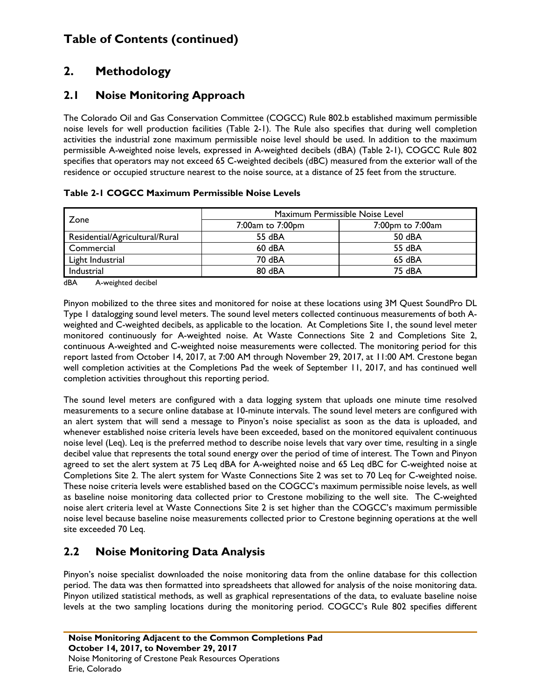### **2. Methodology**

#### **2.1 Noise Monitoring Approach**

The Colorado Oil and Gas Conservation Committee (COGCC) Rule 802.b established maximum permissible noise levels for well production facilities (Table 2-1). The Rule also specifies that during well completion activities the industrial zone maximum permissible noise level should be used. In addition to the maximum permissible A-weighted noise levels, expressed in A-weighted decibels (dBA) (Table 2-1), COGCC Rule 802 specifies that operators may not exceed 65 C-weighted decibels (dBC) measured from the exterior wall of the residence or occupied structure nearest to the noise source, at a distance of 25 feet from the structure.

| Zone                           | Maximum Permissible Noise Level |                  |  |  |
|--------------------------------|---------------------------------|------------------|--|--|
|                                | 7:00am to 7:00pm                | 7:00pm to 7:00am |  |  |
| Residential/Agricultural/Rural | 55 dBA                          | 50 dBA           |  |  |
| Commercial                     | $60$ dBA                        | 55 dBA           |  |  |
| Light Industrial               | 70 dBA                          | 65 dBA           |  |  |
| Industrial                     | 80 dBA                          | 75 dBA           |  |  |

#### **Table 2-1 COGCC Maximum Permissible Noise Levels**

dBA A-weighted decibel

Pinyon mobilized to the three sites and monitored for noise at these locations using 3M Quest SoundPro DL Type 1 datalogging sound level meters. The sound level meters collected continuous measurements of both Aweighted and C-weighted decibels, as applicable to the location. At Completions Site 1, the sound level meter monitored continuously for A-weighted noise. At Waste Connections Site 2 and Completions Site 2, continuous A-weighted and C-weighted noise measurements were collected. The monitoring period for this report lasted from October 14, 2017, at 7:00 AM through November 29, 2017, at 11:00 AM. Crestone began well completion activities at the Completions Pad the week of September 11, 2017, and has continued well completion activities throughout this reporting period.

The sound level meters are configured with a data logging system that uploads one minute time resolved measurements to a secure online database at 10-minute intervals. The sound level meters are configured with an alert system that will send a message to Pinyon's noise specialist as soon as the data is uploaded, and whenever established noise criteria levels have been exceeded, based on the monitored equivalent continuous noise level (Leq). Leq is the preferred method to describe noise levels that vary over time, resulting in a single decibel value that represents the total sound energy over the period of time of interest. The Town and Pinyon agreed to set the alert system at 75 Leq dBA for A-weighted noise and 65 Leq dBC for C-weighted noise at Completions Site 2. The alert system for Waste Connections Site 2 was set to 70 Leq for C-weighted noise. These noise criteria levels were established based on the COGCC's maximum permissible noise levels, as well as baseline noise monitoring data collected prior to Crestone mobilizing to the well site. The C-weighted noise alert criteria level at Waste Connections Site 2 is set higher than the COGCC's maximum permissible noise level because baseline noise measurements collected prior to Crestone beginning operations at the well site exceeded 70 Leq.

#### **2.2 Noise Monitoring Data Analysis**

Pinyon's noise specialist downloaded the noise monitoring data from the online database for this collection period. The data was then formatted into spreadsheets that allowed for analysis of the noise monitoring data. Pinyon utilized statistical methods, as well as graphical representations of the data, to evaluate baseline noise levels at the two sampling locations during the monitoring period. COGCC's Rule 802 specifies different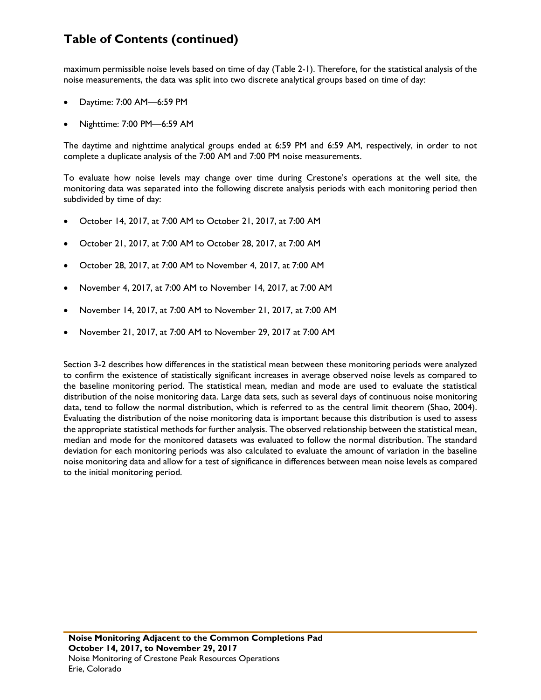maximum permissible noise levels based on time of day (Table 2-1). Therefore, for the statistical analysis of the noise measurements, the data was split into two discrete analytical groups based on time of day:

- Daytime: 7:00 AM—6:59 PM
- Nighttime: 7:00 PM—6:59 AM

The daytime and nighttime analytical groups ended at 6:59 PM and 6:59 AM, respectively, in order to not complete a duplicate analysis of the 7:00 AM and 7:00 PM noise measurements.

To evaluate how noise levels may change over time during Crestone's operations at the well site, the monitoring data was separated into the following discrete analysis periods with each monitoring period then subdivided by time of day:

- October 14, 2017, at 7:00 AM to October 21, 2017, at 7:00 AM
- October 21, 2017, at 7:00 AM to October 28, 2017, at 7:00 AM
- October 28, 2017, at 7:00 AM to November 4, 2017, at 7:00 AM
- November 4, 2017, at 7:00 AM to November 14, 2017, at 7:00 AM
- November 14, 2017, at 7:00 AM to November 21, 2017, at 7:00 AM
- November 21, 2017, at 7:00 AM to November 29, 2017 at 7:00 AM

Section 3-2 describes how differences in the statistical mean between these monitoring periods were analyzed to confirm the existence of statistically significant increases in average observed noise levels as compared to the baseline monitoring period. The statistical mean, median and mode are used to evaluate the statistical distribution of the noise monitoring data. Large data sets, such as several days of continuous noise monitoring data, tend to follow the normal distribution, which is referred to as the central limit theorem (Shao, 2004). Evaluating the distribution of the noise monitoring data is important because this distribution is used to assess the appropriate statistical methods for further analysis. The observed relationship between the statistical mean, median and mode for the monitored datasets was evaluated to follow the normal distribution. The standard deviation for each monitoring periods was also calculated to evaluate the amount of variation in the baseline noise monitoring data and allow for a test of significance in differences between mean noise levels as compared to the initial monitoring period.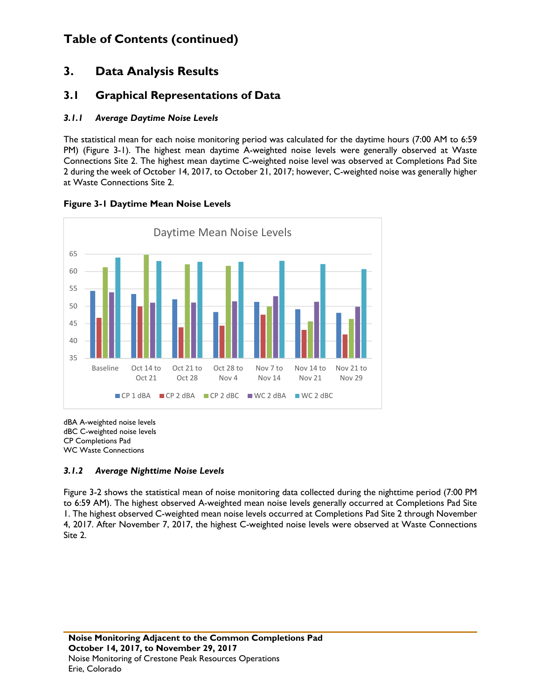#### **3. Data Analysis Results**

#### **3.1 Graphical Representations of Data**

#### *3.1.1 Average Daytime Noise Levels*

The statistical mean for each noise monitoring period was calculated for the daytime hours (7:00 AM to 6:59 PM) (Figure 3-1). The highest mean daytime A-weighted noise levels were generally observed at Waste Connections Site 2. The highest mean daytime C-weighted noise level was observed at Completions Pad Site 2 during the week of October 14, 2017, to October 21, 2017; however, C-weighted noise was generally higher at Waste Connections Site 2.



#### **Figure 3-1 Daytime Mean Noise Levels**

dBA A-weighted noise levels dBC C-weighted noise levels CP Completions Pad WC Waste Connections

#### *3.1.2 Average Nighttime Noise Levels*

Figure 3-2 shows the statistical mean of noise monitoring data collected during the nighttime period (7:00 PM to 6:59 AM). The highest observed A-weighted mean noise levels generally occurred at Completions Pad Site 1. The highest observed C-weighted mean noise levels occurred at Completions Pad Site 2 through November 4, 2017. After November 7, 2017, the highest C-weighted noise levels were observed at Waste Connections Site 2.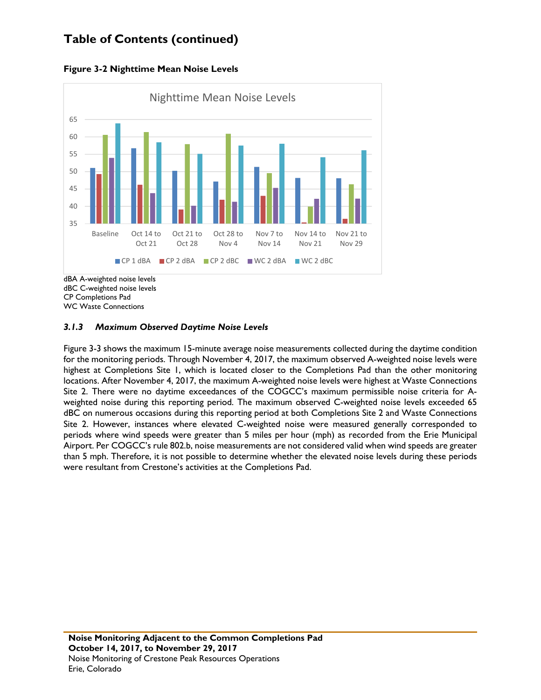**Figure 3-2 Nighttime Mean Noise Levels** 



CP Completions Pad

WC Waste Connections

#### *3.1.3 Maximum Observed Daytime Noise Levels*

Figure 3-3 shows the maximum 15-minute average noise measurements collected during the daytime condition for the monitoring periods. Through November 4, 2017, the maximum observed A-weighted noise levels were highest at Completions Site 1, which is located closer to the Completions Pad than the other monitoring locations. After November 4, 2017, the maximum A-weighted noise levels were highest at Waste Connections Site 2. There were no daytime exceedances of the COGCC's maximum permissible noise criteria for Aweighted noise during this reporting period. The maximum observed C-weighted noise levels exceeded 65 dBC on numerous occasions during this reporting period at both Completions Site 2 and Waste Connections Site 2. However, instances where elevated C-weighted noise were measured generally corresponded to periods where wind speeds were greater than 5 miles per hour (mph) as recorded from the Erie Municipal Airport. Per COGCC's rule 802.b, noise measurements are not considered valid when wind speeds are greater than 5 mph. Therefore, it is not possible to determine whether the elevated noise levels during these periods were resultant from Crestone's activities at the Completions Pad.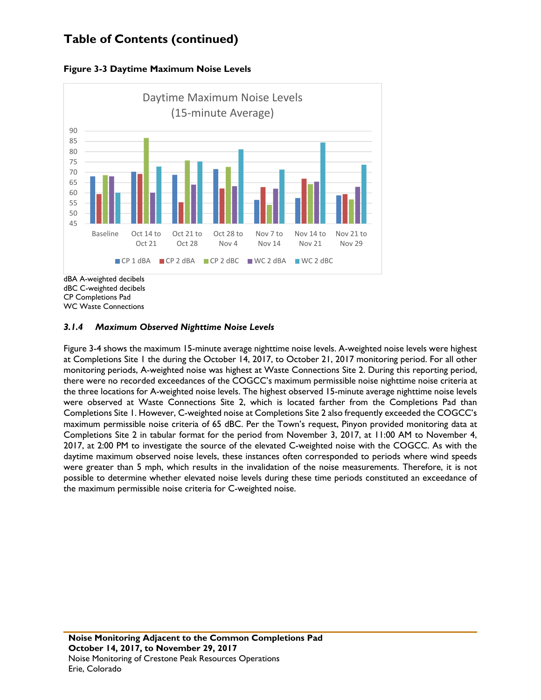



CP Completions Pad

WC Waste Connections

#### *3.1.4 Maximum Observed Nighttime Noise Levels*

Figure 3-4 shows the maximum 15-minute average nighttime noise levels. A-weighted noise levels were highest at Completions Site 1 the during the October 14, 2017, to October 21, 2017 monitoring period. For all other monitoring periods, A-weighted noise was highest at Waste Connections Site 2. During this reporting period, there were no recorded exceedances of the COGCC's maximum permissible noise nighttime noise criteria at the three locations for A-weighted noise levels. The highest observed 15-minute average nighttime noise levels were observed at Waste Connections Site 2, which is located farther from the Completions Pad than Completions Site 1. However, C-weighted noise at Completions Site 2 also frequently exceeded the COGCC's maximum permissible noise criteria of 65 dBC. Per the Town's request, Pinyon provided monitoring data at Completions Site 2 in tabular format for the period from November 3, 2017, at 11:00 AM to November 4, 2017, at 2:00 PM to investigate the source of the elevated C-weighted noise with the COGCC. As with the daytime maximum observed noise levels, these instances often corresponded to periods where wind speeds were greater than 5 mph, which results in the invalidation of the noise measurements. Therefore, it is not possible to determine whether elevated noise levels during these time periods constituted an exceedance of the maximum permissible noise criteria for C-weighted noise.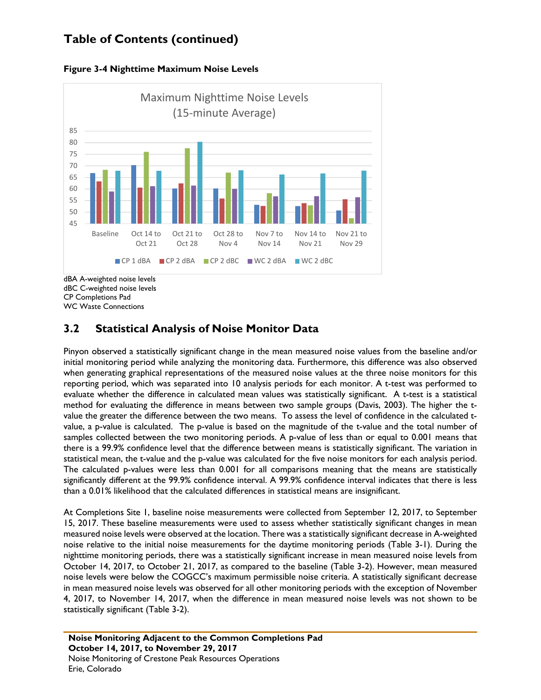



CP Completions Pad WC Waste Connections

### **3.2 Statistical Analysis of Noise Monitor Data**

Pinyon observed a statistically significant change in the mean measured noise values from the baseline and/or initial monitoring period while analyzing the monitoring data. Furthermore, this difference was also observed when generating graphical representations of the measured noise values at the three noise monitors for this reporting period, which was separated into 10 analysis periods for each monitor. A t-test was performed to evaluate whether the difference in calculated mean values was statistically significant. A t-test is a statistical method for evaluating the difference in means between two sample groups (Davis, 2003). The higher the tvalue the greater the difference between the two means. To assess the level of confidence in the calculated tvalue, a p-value is calculated. The p-value is based on the magnitude of the t-value and the total number of samples collected between the two monitoring periods. A p-value of less than or equal to 0.001 means that there is a 99.9% confidence level that the difference between means is statistically significant. The variation in statistical mean, the t-value and the p-value was calculated for the five noise monitors for each analysis period. The calculated p-values were less than 0.001 for all comparisons meaning that the means are statistically significantly different at the 99.9% confidence interval. A 99.9% confidence interval indicates that there is less than a 0.01% likelihood that the calculated differences in statistical means are insignificant.

At Completions Site 1, baseline noise measurements were collected from September 12, 2017, to September 15, 2017. These baseline measurements were used to assess whether statistically significant changes in mean measured noise levels were observed at the location. There was a statistically significant decrease in A-weighted noise relative to the initial noise measurements for the daytime monitoring periods (Table 3-1). During the nighttime monitoring periods, there was a statistically significant increase in mean measured noise levels from October 14, 2017, to October 21, 2017, as compared to the baseline (Table 3-2). However, mean measured noise levels were below the COGCC's maximum permissible noise criteria. A statistically significant decrease in mean measured noise levels was observed for all other monitoring periods with the exception of November 4, 2017, to November 14, 2017, when the difference in mean measured noise levels was not shown to be statistically significant (Table 3-2).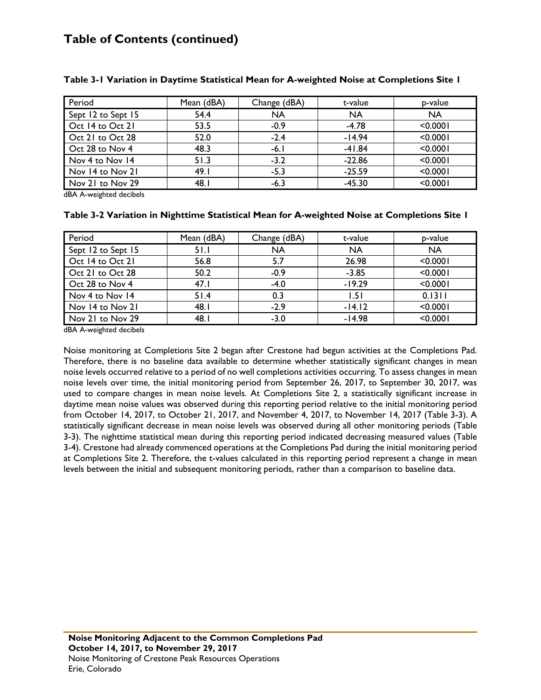| Period             | Mean (dBA) | Change (dBA) | t-value   | p-value   |
|--------------------|------------|--------------|-----------|-----------|
| Sept 12 to Sept 15 | 54.4       | <b>NA</b>    | <b>NA</b> | <b>NA</b> |
| Oct 14 to Oct 21   | 53.5       | $-0.9$       | $-4.78$   | < 0.0001  |
| Oct 21 to Oct 28   | 52.0       | $-2.4$       | $-14.94$  | < 0.0001  |
| Oct 28 to Nov 4    | 48.3       | $-6.1$       | $-41.84$  | < 0.0001  |
| Nov 4 to Nov 14    | 51.3       | $-3.2$       | $-22.86$  | < 0.0001  |
| Nov 14 to Nov 21   | 49.1       | $-5.3$       | $-25.59$  | < 0.0001  |
| Nov 21 to Nov 29   | 48.1       | $-6.3$       | $-45.30$  | < 0.0001  |

#### **Table 3-1 Variation in Daytime Statistical Mean for A-weighted Noise at Completions Site 1**

dBA A-weighted decibels

#### **Table 3-2 Variation in Nighttime Statistical Mean for A-weighted Noise at Completions Site 1**

| Period             | Mean (dBA) | Change (dBA) | t-value   | p-value   |
|--------------------|------------|--------------|-----------|-----------|
| Sept 12 to Sept 15 | 51.1       | <b>NA</b>    | <b>NA</b> | <b>NA</b> |
| Oct 14 to Oct 21   | 56.8       | 5.7          | 26.98     | < 0.0001  |
| Oct 21 to Oct 28   | 50.2       | $-0.9$       | $-3.85$   | < 0.0001  |
| Oct 28 to Nov 4    | 47.1       | $-4.0$       | $-19.29$  | < 0.0001  |
| Nov 4 to Nov 14    | 51.4       | 0.3          | 1.51      | 0.1311    |
| Nov 14 to Nov 21   | 48.        | $-2.9$       | $-14.12$  | < 0.0001  |
| Nov 21 to Nov 29   | 48.1       | $-3.0$       | $-14.98$  | < 0.0001  |

dBA A-weighted decibels

Noise monitoring at Completions Site 2 began after Crestone had begun activities at the Completions Pad. Therefore, there is no baseline data available to determine whether statistically significant changes in mean noise levels occurred relative to a period of no well completions activities occurring. To assess changes in mean noise levels over time, the initial monitoring period from September 26, 2017, to September 30, 2017, was used to compare changes in mean noise levels. At Completions Site 2, a statistically significant increase in daytime mean noise values was observed during this reporting period relative to the initial monitoring period from October 14, 2017, to October 21, 2017, and November 4, 2017, to November 14, 2017 (Table 3-3). A statistically significant decrease in mean noise levels was observed during all other monitoring periods (Table 3-3). The nighttime statistical mean during this reporting period indicated decreasing measured values (Table 3-4). Crestone had already commenced operations at the Completions Pad during the initial monitoring period at Completions Site 2. Therefore, the t-values calculated in this reporting period represent a change in mean levels between the initial and subsequent monitoring periods, rather than a comparison to baseline data.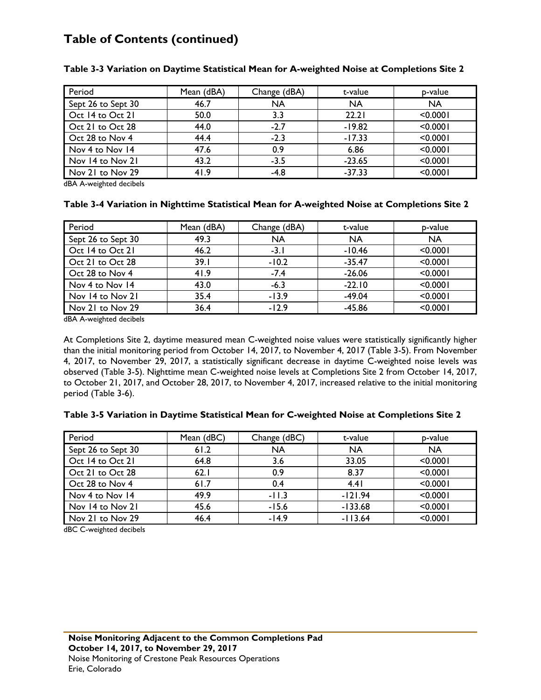| Period             | Mean (dBA) | Change (dBA) | t-value   | p-value   |
|--------------------|------------|--------------|-----------|-----------|
| Sept 26 to Sept 30 | 46.7       | <b>NA</b>    | <b>NA</b> | <b>NA</b> |
| Oct 14 to Oct 21   | 50.0       | 3.3          | 22.21     | < 0.0001  |
| Oct 21 to Oct 28   | 44.0       | $-2.7$       | $-19.82$  | < 0.0001  |
| Oct 28 to Nov 4    | 44.4       | $-2.3$       | $-17.33$  | < 0.0001  |
| Nov 4 to Nov 14    | 47.6       | 0.9          | 6.86      | < 0.0001  |
| Nov 14 to Nov 21   | 43.2       | $-3.5$       | $-23.65$  | < 0.0001  |
| Nov 21 to Nov 29   | 41.9       | $-4.8$       | $-37.33$  | < 0.0001  |

#### **Table 3-3 Variation on Daytime Statistical Mean for A-weighted Noise at Completions Site 2**

dBA A-weighted decibels

#### **Table 3-4 Variation in Nighttime Statistical Mean for A-weighted Noise at Completions Site 2**

| Period             | Mean (dBA) | Change (dBA) | t-value   | p-value   |
|--------------------|------------|--------------|-----------|-----------|
| Sept 26 to Sept 30 | 49.3       | <b>NA</b>    | <b>NA</b> | <b>NA</b> |
| Oct 14 to Oct 21   | 46.2       | $-3.1$       | $-10.46$  | < 0.0001  |
| Oct 21 to Oct 28   | 39.1       | $-10.2$      | $-35.47$  | < 0.0001  |
| Oct 28 to Nov 4    | 41.9       | $-7.4$       | $-26.06$  | < 0.0001  |
| Nov 4 to Nov 14    | 43.0       | $-6.3$       | $-22.10$  | < 0.0001  |
| Nov 14 to Nov 21   | 35.4       | $-13.9$      | $-49.04$  | < 0.0001  |
| Nov 21 to Nov 29   | 36.4       | $-12.9$      | $-45.86$  | < 0.0001  |

dBA A-weighted decibels

At Completions Site 2, daytime measured mean C-weighted noise values were statistically significantly higher than the initial monitoring period from October 14, 2017, to November 4, 2017 (Table 3-5). From November 4, 2017, to November 29, 2017, a statistically significant decrease in daytime C-weighted noise levels was observed (Table 3-5). Nighttime mean C-weighted noise levels at Completions Site 2 from October 14, 2017, to October 21, 2017, and October 28, 2017, to November 4, 2017, increased relative to the initial monitoring period (Table 3-6).

#### **Table 3-5 Variation in Daytime Statistical Mean for C-weighted Noise at Completions Site 2**

| Period             | Mean (dBC) | Change (dBC) | t-value   | p-value   |
|--------------------|------------|--------------|-----------|-----------|
| Sept 26 to Sept 30 | 61.2       | <b>NA</b>    | <b>NA</b> | <b>NA</b> |
| Oct 14 to Oct 21   | 64.8       | 3.6          | 33.05     | < 0.0001  |
| Oct 21 to Oct 28   | 62.1       | 0.9          | 8.37      | < 0.0001  |
| Oct 28 to Nov 4    | 61.7       | 0.4          | 4.41      | < 0.0001  |
| Nov 4 to Nov 14    | 49.9       | $-11.3$      | $-121.94$ | < 0.0001  |
| Nov 14 to Nov 21   | 45.6       | $-15.6$      | $-133.68$ | < 0.0001  |
| Nov 21 to Nov 29   | 46.4       | $-14.9$      | $-113.64$ | < 0.0001  |

dBC C-weighted decibels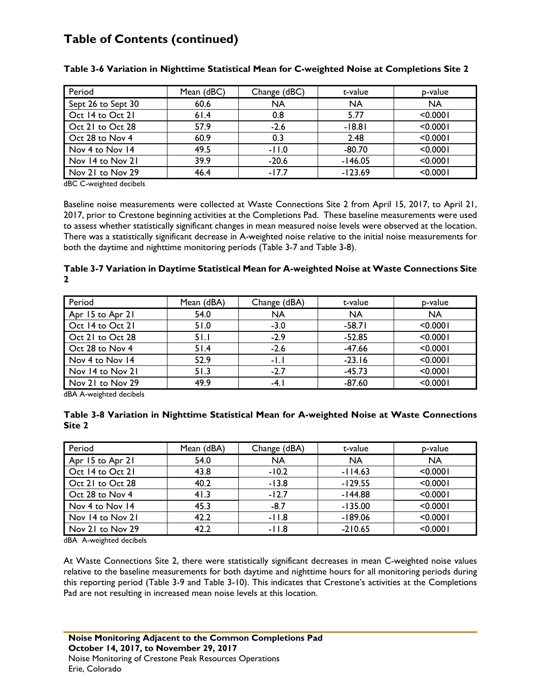| Period             | Mean (dBC) | Change (dBC) | t-value   | p-value   |
|--------------------|------------|--------------|-----------|-----------|
| Sept 26 to Sept 30 | 60.6       | <b>NA</b>    | <b>NA</b> | <b>NA</b> |
| Oct 14 to Oct 21   | 61.4       | 0.8          | 5.77      | < 0.0001  |
| Oct 21 to Oct 28   | 57.9       | $-2.6$       | $-18.81$  | < 0.0001  |
| Oct 28 to Nov 4    | 60.9       | 0.3          | 2.48      | < 0.0001  |
| Nov 4 to Nov 14    | 49.5       | $-11.0$      | $-80.70$  | < 0.0001  |
| Nov 14 to Nov 21   | 39.9       | $-20.6$      | $-146.05$ | < 0.0001  |
| Nov 21 to Nov 29   | 46.4       | $-17.7$      | $-123.69$ | < 0.0001  |

#### **Table 3-6 Variation in Nighttime Statistical Mean for C-weighted Noise at Completions Site 2**

dBC C-weighted decibels

Baseline noise measurements were collected at Waste Connections Site 2 from April 15, 2017, to April 21, 2017, prior to Crestone beginning activities at the Completions Pad. These baseline measurements were used to assess whether statistically significant changes in mean measured noise levels were observed at the location. There was a statistically significant decrease in A-weighted noise relative to the initial noise measurements for both the daytime and nighttime monitoring periods (Table 3-7 and Table 3-8).

#### **Table 3-7 Variation in Daytime Statistical Mean for A-weighted Noise at Waste Connections Site 2**

| Period           | Mean (dBA) | Change (dBA) | t-value   | p-value   |
|------------------|------------|--------------|-----------|-----------|
| Apr 15 to Apr 21 | 54.0       | <b>NA</b>    | <b>NA</b> | <b>NA</b> |
| Oct 14 to Oct 21 | 51.0       | $-3.0$       | $-58.71$  | < 0.0001  |
| Oct 21 to Oct 28 | 51.1       | $-2.9$       | $-52.85$  | < 0.0001  |
| Oct 28 to Nov 4  | 51.4       | $-2.6$       | $-47.66$  | < 0.0001  |
| Nov 4 to Nov 14  | 52.9       | $-1.1$       | $-23.16$  | < 0.0001  |
| Nov 14 to Nov 21 | 51.3       | $-2.7$       | $-45.73$  | < 0.0001  |
| Nov 21 to Nov 29 | 49.9       | $-4.1$       | $-87.60$  | < 0.0001  |

dBA A-weighted decibels

#### **Table 3-8 Variation in Nighttime Statistical Mean for A-weighted Noise at Waste Connections Site 2**

| Period           | Mean (dBA) | Change (dBA) | t-value   | p-value   |
|------------------|------------|--------------|-----------|-----------|
| Apr 15 to Apr 21 | 54.0       | <b>NA</b>    | <b>NA</b> | <b>NA</b> |
| Oct 14 to Oct 21 | 43.8       | $-10.2$      | $-114.63$ | < 0.0001  |
| Oct 21 to Oct 28 | 40.2       | $-13.8$      | $-129.55$ | < 0.0001  |
| Oct 28 to Nov 4  | 41.3       | $-12.7$      | $-144.88$ | < 0.0001  |
| Nov 4 to Nov 14  | 45.3       | $-8.7$       | $-135.00$ | < 0.0001  |
| Nov 14 to Nov 21 | 42.2       | $-11.8$      | $-189.06$ | < 0.0001  |
| Nov 21 to Nov 29 | 42.2       | $-11.8$      | $-210.65$ | < 0.0001  |

dBA A-weighted decibels

At Waste Connections Site 2, there were statistically significant decreases in mean C-weighted noise values relative to the baseline measurements for both daytime and nighttime hours for all monitoring periods during this reporting period (Table 3-9 and Table 3-10). This indicates that Crestone's activities at the Completions Pad are not resulting in increased mean noise levels at this location.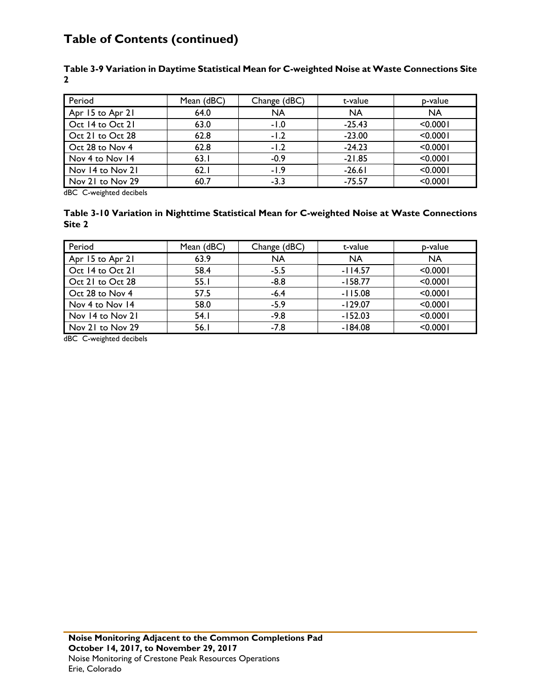| Period           | Mean (dBC) | Change (dBC) | t-value   | p-value   |
|------------------|------------|--------------|-----------|-----------|
| Apr 15 to Apr 21 | 64.0       | <b>NA</b>    | <b>NA</b> | <b>NA</b> |
| Oct 14 to Oct 21 | 63.0       | $-1.0$       | $-25.43$  | < 0.0001  |
| Oct 21 to Oct 28 | 62.8       | $-1.2$       | $-23.00$  | < 0.0001  |
| Oct 28 to Nov 4  | 62.8       | $-1.2$       | $-24.23$  | < 0.0001  |
| Nov 4 to Nov 14  | 63.1       | $-0.9$       | $-21.85$  | < 0.0001  |
| Nov 14 to Nov 21 | 62.1       | $-1.9$       | $-26.61$  | < 0.0001  |
| Nov 21 to Nov 29 | 60.7       | $-3.3$       | $-75.57$  | < 0.0001  |

#### **Table 3-9 Variation in Daytime Statistical Mean for C-weighted Noise at Waste Connections Site 2**

dBC C-weighted decibels

#### **Table 3-10 Variation in Nighttime Statistical Mean for C-weighted Noise at Waste Connections Site 2**

| Period           | Mean (dBC) | Change (dBC) | t-value   | p-value   |
|------------------|------------|--------------|-----------|-----------|
| Apr 15 to Apr 21 | 63.9       | <b>NA</b>    | <b>NA</b> | <b>NA</b> |
| Oct 14 to Oct 21 | 58.4       | $-5.5$       | $-114.57$ | < 0.0001  |
| Oct 21 to Oct 28 | 55.1       | $-8.8$       | $-158.77$ | < 0.0001  |
| Oct 28 to Nov 4  | 57.5       | $-6.4$       | $-115.08$ | < 0.0001  |
| Nov 4 to Nov 14  | 58.0       | $-5.9$       | $-129.07$ | < 0.0001  |
| Nov 14 to Nov 21 | 54.1       | $-9.8$       | $-152.03$ | < 0.0001  |
| Nov 21 to Nov 29 | 56.1       | $-7.8$       | $-184.08$ | < 0.0001  |

dBC C-weighted decibels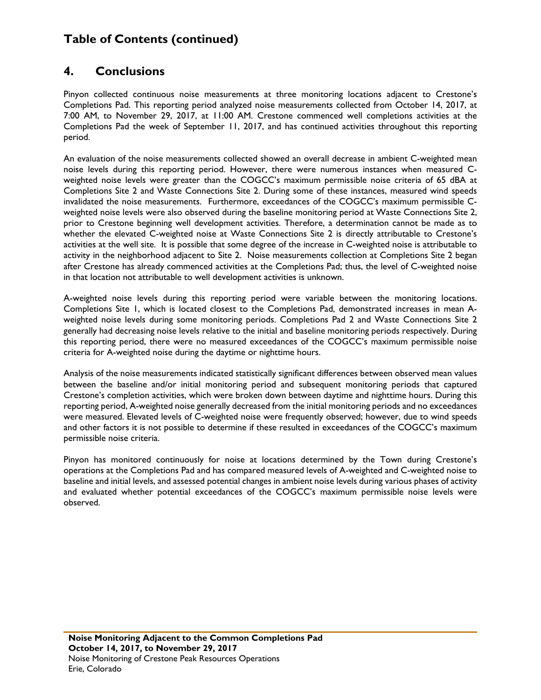### **4. Conclusions**

Pinyon collected continuous noise measurements at three monitoring locations adjacent to Crestone's Completions Pad. This reporting period analyzed noise measurements collected from October 14, 2017, at 7:00 AM, to November 29, 2017, at 11:00 AM. Crestone commenced well completions activities at the Completions Pad the week of September 11, 2017, and has continued activities throughout this reporting period.

An evaluation of the noise measurements collected showed an overall decrease in ambient C-weighted mean noise levels during this reporting period. However, there were numerous instances when measured Cweighted noise levels were greater than the COGCC's maximum permissible noise criteria of 65 dBA at Completions Site 2 and Waste Connections Site 2. During some of these instances, measured wind speeds invalidated the noise measurements. Furthermore, exceedances of the COGCC's maximum permissible Cweighted noise levels were also observed during the baseline monitoring period at Waste Connections Site 2, prior to Crestone beginning well development activities. Therefore, a determination cannot be made as to whether the elevated C-weighted noise at Waste Connections Site 2 is directly attributable to Crestone's activities at the well site. It is possible that some degree of the increase in C-weighted noise is attributable to activity in the neighborhood adjacent to Site 2. Noise measurements collection at Completions Site 2 began after Crestone has already commenced activities at the Completions Pad; thus, the level of C-weighted noise in that location not attributable to well development activities is unknown.

A-weighted noise levels during this reporting period were variable between the monitoring locations. Completions Site 1, which is located closest to the Completions Pad, demonstrated increases in mean Aweighted noise levels during some monitoring periods. Completions Pad 2 and Waste Connections Site 2 generally had decreasing noise levels relative to the initial and baseline monitoring periods respectively. During this reporting period, there were no measured exceedances of the COGCC's maximum permissible noise criteria for A-weighted noise during the daytime or nighttime hours.

Analysis of the noise measurements indicated statistically significant differences between observed mean values between the baseline and/or initial monitoring period and subsequent monitoring periods that captured Crestone's completion activities, which were broken down between daytime and nighttime hours. During this reporting period, A-weighted noise generally decreased from the initial monitoring periods and no exceedances were measured. Elevated levels of C-weighted noise were frequently observed; however, due to wind speeds and other factors it is not possible to determine if these resulted in exceedances of the COGCC's maximum permissible noise criteria.

Pinyon has monitored continuously for noise at locations determined by the Town during Crestone's operations at the Completions Pad and has compared measured levels of A-weighted and C-weighted noise to baseline and initial levels, and assessed potential changes in ambient noise levels during various phases of activity and evaluated whether potential exceedances of the COGCC's maximum permissible noise levels were observed.